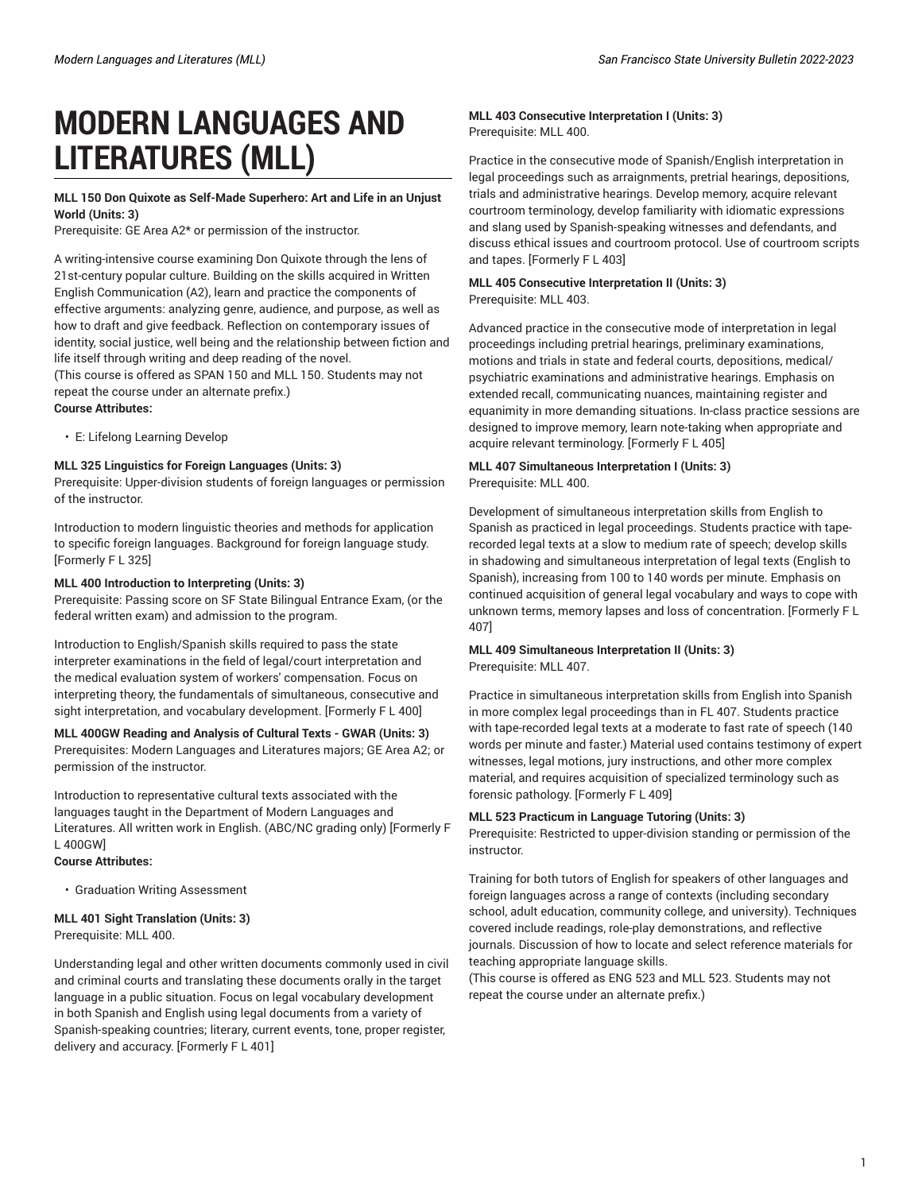# **MODERN LANGUAGES AND LITERATURES (MLL)**

## **MLL 150 Don Quixote as Self-Made Superhero: Art and Life in an Unjust World (Units: 3)**

Prerequisite: GE Area A2\* or permission of the instructor.

A writing-intensive course examining Don Quixote through the lens of 21st-century popular culture. Building on the skills acquired in Written English Communication (A2), learn and practice the components of effective arguments: analyzing genre, audience, and purpose, as well as how to draft and give feedback. Reflection on contemporary issues of identity, social justice, well being and the relationship between fiction and life itself through writing and deep reading of the novel.

(This course is offered as SPAN 150 and MLL 150. Students may not repeat the course under an alternate prefix.)

#### **Course Attributes:**

• E: Lifelong Learning Develop

## **MLL 325 Linguistics for Foreign Languages (Units: 3)**

Prerequisite: Upper-division students of foreign languages or permission of the instructor.

Introduction to modern linguistic theories and methods for application to specific foreign languages. Background for foreign language study. [Formerly F L 325]

## **MLL 400 Introduction to Interpreting (Units: 3)**

Prerequisite: Passing score on SF State Bilingual Entrance Exam, (or the federal written exam) and admission to the program.

Introduction to English/Spanish skills required to pass the state interpreter examinations in the field of legal/court interpretation and the medical evaluation system of workers' compensation. Focus on interpreting theory, the fundamentals of simultaneous, consecutive and sight interpretation, and vocabulary development. [Formerly F L 400]

#### **MLL 400GW Reading and Analysis of Cultural Texts - GWAR (Units: 3)** Prerequisites: Modern Languages and Literatures majors; GE Area A2; or

permission of the instructor. Introduction to representative cultural texts associated with the languages taught in the Department of Modern Languages and Literatures. All written work in English. (ABC/NC grading only) [Formerly F

#### L 400GW] **Course Attributes:**

• Graduation Writing Assessment

#### **MLL 401 Sight Translation (Units: 3)** Prerequisite: MLL 400.

Understanding legal and other written documents commonly used in civil and criminal courts and translating these documents orally in the target language in a public situation. Focus on legal vocabulary development in both Spanish and English using legal documents from a variety of Spanish-speaking countries; literary, current events, tone, proper register, delivery and accuracy. [Formerly F L 401]

## **MLL 403 Consecutive Interpretation I (Units: 3)** Prerequisite: MLL 400.

Practice in the consecutive mode of Spanish/English interpretation in legal proceedings such as arraignments, pretrial hearings, depositions, trials and administrative hearings. Develop memory, acquire relevant courtroom terminology, develop familiarity with idiomatic expressions and slang used by Spanish-speaking witnesses and defendants, and discuss ethical issues and courtroom protocol. Use of courtroom scripts and tapes. [Formerly F L 403]

#### **MLL 405 Consecutive Interpretation II (Units: 3)** Prerequisite: MLL 403.

Advanced practice in the consecutive mode of interpretation in legal proceedings including pretrial hearings, preliminary examinations, motions and trials in state and federal courts, depositions, medical/ psychiatric examinations and administrative hearings. Emphasis on extended recall, communicating nuances, maintaining register and equanimity in more demanding situations. In-class practice sessions are designed to improve memory, learn note-taking when appropriate and acquire relevant terminology. [Formerly F L 405]

## **MLL 407 Simultaneous Interpretation I (Units: 3)** Prerequisite: MLL 400.

Development of simultaneous interpretation skills from English to Spanish as practiced in legal proceedings. Students practice with taperecorded legal texts at a slow to medium rate of speech; develop skills in shadowing and simultaneous interpretation of legal texts (English to Spanish), increasing from 100 to 140 words per minute. Emphasis on continued acquisition of general legal vocabulary and ways to cope with unknown terms, memory lapses and loss of concentration. [Formerly F L 407]

#### **MLL 409 Simultaneous Interpretation II (Units: 3)** Prerequisite: MLL 407.

Practice in simultaneous interpretation skills from English into Spanish in more complex legal proceedings than in FL 407. Students practice with tape-recorded legal texts at a moderate to fast rate of speech (140 words per minute and faster.) Material used contains testimony of expert witnesses, legal motions, jury instructions, and other more complex material, and requires acquisition of specialized terminology such as forensic pathology. [Formerly F L 409]

## **MLL 523 Practicum in Language Tutoring (Units: 3)**

Prerequisite: Restricted to upper-division standing or permission of the instructor.

Training for both tutors of English for speakers of other languages and foreign languages across a range of contexts (including secondary school, adult education, community college, and university). Techniques covered include readings, role-play demonstrations, and reflective journals. Discussion of how to locate and select reference materials for teaching appropriate language skills.

(This course is offered as ENG 523 and MLL 523. Students may not repeat the course under an alternate prefix.)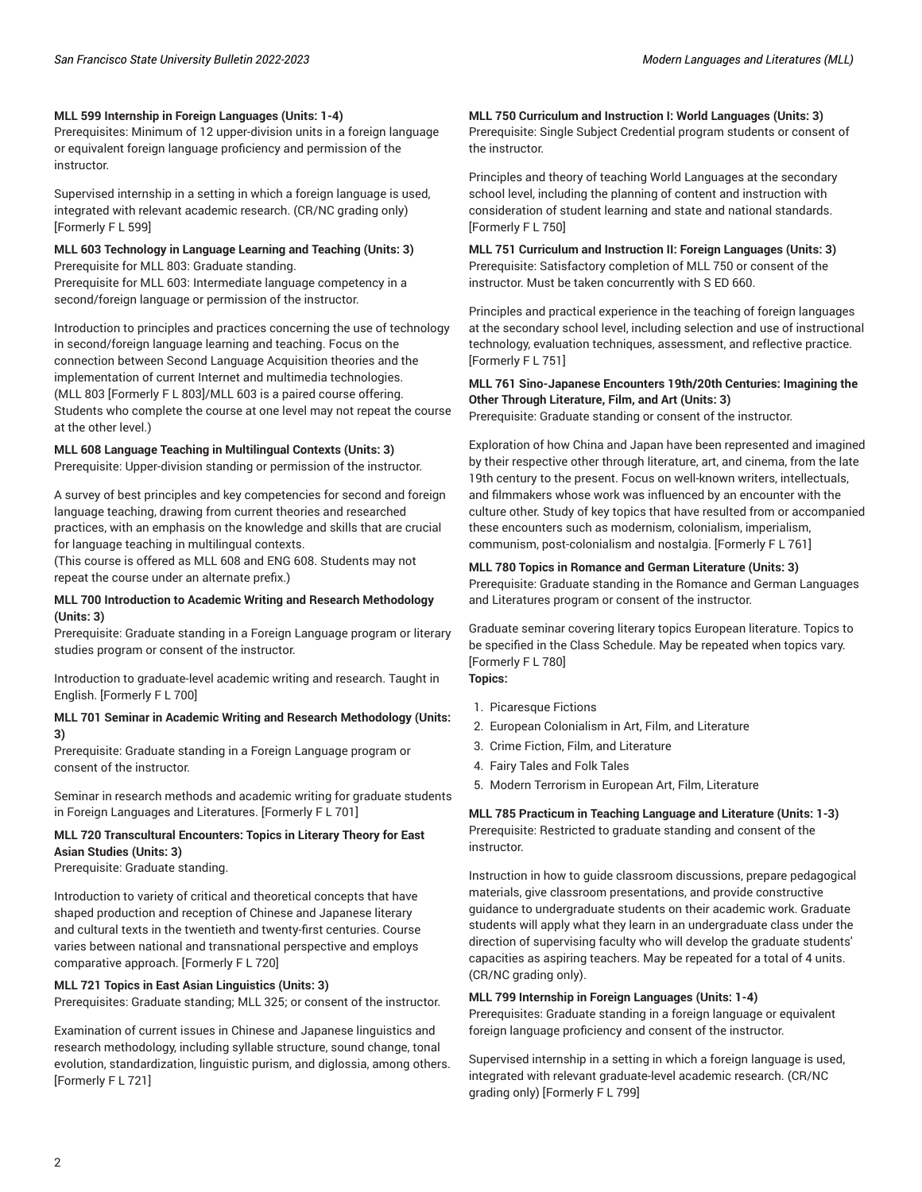#### **MLL 599 Internship in Foreign Languages (Units: 1-4)**

Prerequisites: Minimum of 12 upper-division units in a foreign language or equivalent foreign language proficiency and permission of the instructor.

Supervised internship in a setting in which a foreign language is used, integrated with relevant academic research. (CR/NC grading only) [Formerly F L 599]

## **MLL 603 Technology in Language Learning and Teaching (Units: 3)** Prerequisite for MLL 803: Graduate standing.

Prerequisite for MLL 603: Intermediate language competency in a second/foreign language or permission of the instructor.

Introduction to principles and practices concerning the use of technology in second/foreign language learning and teaching. Focus on the connection between Second Language Acquisition theories and the implementation of current Internet and multimedia technologies. (MLL 803 [Formerly F L 803]/MLL 603 is a paired course offering. Students who complete the course at one level may not repeat the course at the other level.)

#### **MLL 608 Language Teaching in Multilingual Contexts (Units: 3)**

Prerequisite: Upper-division standing or permission of the instructor.

A survey of best principles and key competencies for second and foreign language teaching, drawing from current theories and researched practices, with an emphasis on the knowledge and skills that are crucial for language teaching in multilingual contexts.

(This course is offered as MLL 608 and ENG 608. Students may not repeat the course under an alternate prefix.)

#### **MLL 700 Introduction to Academic Writing and Research Methodology (Units: 3)**

Prerequisite: Graduate standing in a Foreign Language program or literary studies program or consent of the instructor.

Introduction to graduate-level academic writing and research. Taught in English. [Formerly F L 700]

#### **MLL 701 Seminar in Academic Writing and Research Methodology (Units: 3)**

Prerequisite: Graduate standing in a Foreign Language program or consent of the instructor.

Seminar in research methods and academic writing for graduate students in Foreign Languages and Literatures. [Formerly F L 701]

## **MLL 720 Transcultural Encounters: Topics in Literary Theory for East Asian Studies (Units: 3)**

Prerequisite: Graduate standing.

Introduction to variety of critical and theoretical concepts that have shaped production and reception of Chinese and Japanese literary and cultural texts in the twentieth and twenty-first centuries. Course varies between national and transnational perspective and employs comparative approach. [Formerly F L 720]

#### **MLL 721 Topics in East Asian Linguistics (Units: 3)**

Prerequisites: Graduate standing; MLL 325; or consent of the instructor.

Examination of current issues in Chinese and Japanese linguistics and research methodology, including syllable structure, sound change, tonal evolution, standardization, linguistic purism, and diglossia, among others. [Formerly F L 721]

**MLL 750 Curriculum and Instruction I: World Languages (Units: 3)** Prerequisite: Single Subject Credential program students or consent of the instructor.

Principles and theory of teaching World Languages at the secondary school level, including the planning of content and instruction with consideration of student learning and state and national standards. [Formerly F L 750]

**MLL 751 Curriculum and Instruction II: Foreign Languages (Units: 3)** Prerequisite: Satisfactory completion of MLL 750 or consent of the instructor. Must be taken concurrently with S ED 660.

Principles and practical experience in the teaching of foreign languages at the secondary school level, including selection and use of instructional technology, evaluation techniques, assessment, and reflective practice. [Formerly F L 751]

#### **MLL 761 Sino-Japanese Encounters 19th/20th Centuries: Imagining the Other Through Literature, Film, and Art (Units: 3)**

Prerequisite: Graduate standing or consent of the instructor.

Exploration of how China and Japan have been represented and imagined by their respective other through literature, art, and cinema, from the late 19th century to the present. Focus on well-known writers, intellectuals, and filmmakers whose work was influenced by an encounter with the culture other. Study of key topics that have resulted from or accompanied these encounters such as modernism, colonialism, imperialism, communism, post-colonialism and nostalgia. [Formerly F L 761]

#### **MLL 780 Topics in Romance and German Literature (Units: 3)**

Prerequisite: Graduate standing in the Romance and German Languages and Literatures program or consent of the instructor.

Graduate seminar covering literary topics European literature. Topics to be specified in the Class Schedule. May be repeated when topics vary. [Formerly F L 780]

## **Topics:**

- 1. Picaresque Fictions
- 2. European Colonialism in Art, Film, and Literature
- 3. Crime Fiction, Film, and Literature
- 4. Fairy Tales and Folk Tales
- 5. Modern Terrorism in European Art, Film, Literature

**MLL 785 Practicum in Teaching Language and Literature (Units: 1-3)** Prerequisite: Restricted to graduate standing and consent of the instructor.

Instruction in how to guide classroom discussions, prepare pedagogical materials, give classroom presentations, and provide constructive guidance to undergraduate students on their academic work. Graduate students will apply what they learn in an undergraduate class under the direction of supervising faculty who will develop the graduate students' capacities as aspiring teachers. May be repeated for a total of 4 units. (CR/NC grading only).

#### **MLL 799 Internship in Foreign Languages (Units: 1-4)**

Prerequisites: Graduate standing in a foreign language or equivalent foreign language proficiency and consent of the instructor.

Supervised internship in a setting in which a foreign language is used, integrated with relevant graduate-level academic research. (CR/NC grading only) [Formerly F L 799]